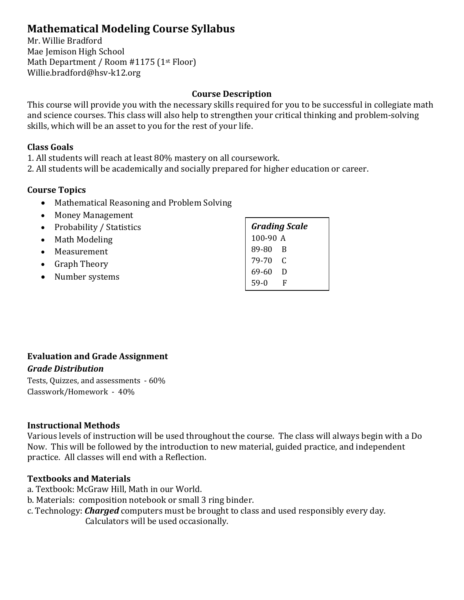# **Mathematical Modeling Course Syllabus**

Mr. Willie Bradford Mae Jemison High School Math Department / Room #1175 (1<sup>st</sup> Floor) Willie.bradford@hsv-k12.org

## **Course Description**

This course will provide you with the necessary skills required for you to be successful in collegiate math and science courses. This class will also help to strengthen your critical thinking and problem-solving skills, which will be an asset to you for the rest of your life.

#### **Class Goals**

1. All students will reach at least 80% mastery on all coursework.

2. All students will be academically and socially prepared for higher education or career.

# **Course Topics**

- Mathematical Reasoning and Problem Solving
- Money Management
- Probability / Statistics
- Math Modeling
- Measurement
- Graph Theory
- Number systems

| <b>Grading Scale</b> |   |  |  |  |
|----------------------|---|--|--|--|
| 100-90 A             |   |  |  |  |
| 89-80                | B |  |  |  |
| 79-70                | C |  |  |  |
| 69-60                | D |  |  |  |
| $59-0$               | F |  |  |  |
|                      |   |  |  |  |

# **Evaluation and Grade Assignment** *Grade Distribution*

Tests, Quizzes, and assessments - 60% Classwork/Homework - 40%

#### **Instructional Methods**

Various levels of instruction will be used throughout the course. The class will always begin with a Do Now. This will be followed by the introduction to new material, guided practice, and independent practice. All classes will end with a Reflection.

#### **Textbooks and Materials**

- a. Textbook: McGraw Hill, Math in our World.
- b. Materials: composition notebook or small 3 ring binder.
- c. Technology: *Charged* computers must be brought to class and used responsibly every day. Calculators will be used occasionally.